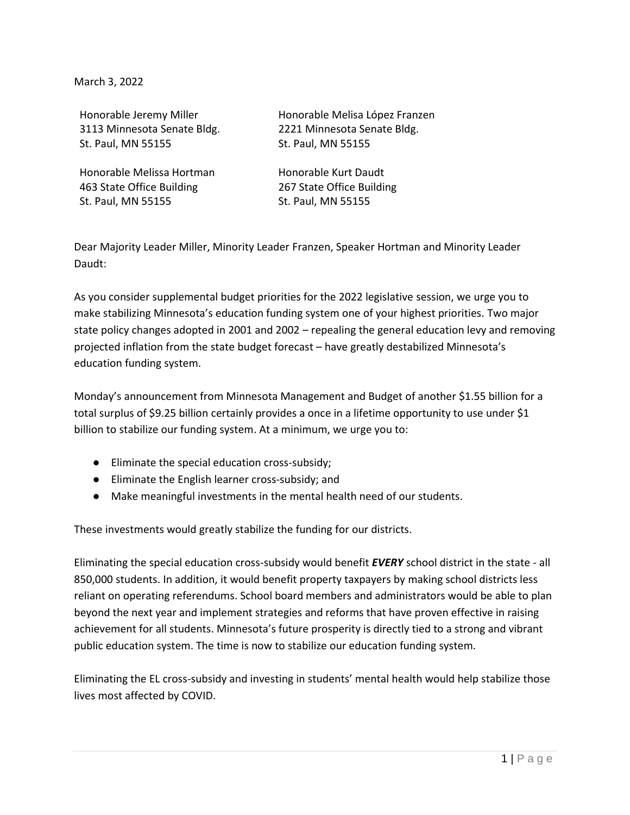March 3, 2022

Honorable Jeremy Miller 3113 Minnesota Senate Bldg. St. Paul, MN 55155

Honorable Melissa Hortman 463 State Office Building St. Paul, MN 55155

Honorable Melisa López Franzen 2221 Minnesota Senate Bldg. St. Paul, MN 55155

Honorable Kurt Daudt 267 State Office Building St. Paul, MN 55155

Dear Majority Leader Miller, Minority Leader Franzen, Speaker Hortman and Minority Leader Daudt:

As you consider supplemental budget priorities for the 2022 legislative session, we urge you to make stabilizing Minnesota's education funding system one of your highest priorities. Two major state policy changes adopted in 2001 and 2002 – repealing the general education levy and removing projected inflation from the state budget forecast – have greatly destabilized Minnesota's education funding system.

Monday's announcement from Minnesota Management and Budget of another \$1.55 billion for a total surplus of \$9.25 billion certainly provides a once in a lifetime opportunity to use under \$1 billion to stabilize our funding system. At a minimum, we urge you to:

- Eliminate the special education cross-subsidy;
- Eliminate the English learner cross-subsidy; and
- Make meaningful investments in the mental health need of our students.

These investments would greatly stabilize the funding for our districts.

Eliminating the special education cross-subsidy would benefit *EVERY* school district in the state - all 850,000 students. In addition, it would benefit property taxpayers by making school districts less reliant on operating referendums. School board members and administrators would be able to plan beyond the next year and implement strategies and reforms that have proven effective in raising achievement for all students. Minnesota's future prosperity is directly tied to a strong and vibrant public education system. The time is now to stabilize our education funding system.

Eliminating the EL cross-subsidy and investing in students' mental health would help stabilize those lives most affected by COVID.